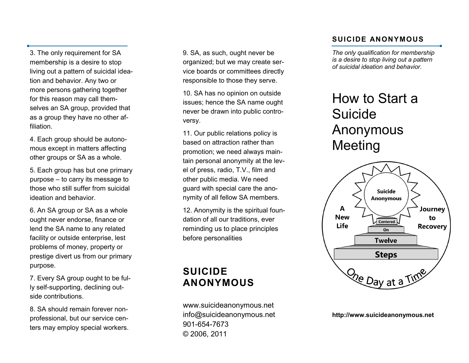3. The only requirement for SA membership is a desire to stop living out a pattern of suicidal ideation and behavior. Any two or more persons gathering together for this reason may call themselves an SA group, provided that as a group they have no other affiliation.

4. Each group should be autonomous except in matters affecting other groups or SA as a whole.

5. Each group has but one primary purpose – to carry its message to those who still suffer from suicidal ideation and behavior.

6. An SA group or SA as a whole ought never endorse, finance or lend the SA name to any related facility or outside enterprise, lest problems of money, property or prestige divert us from our primary purpose.

7. Every SA group ought to be fully self-supporting, declining outside contributions.

8. SA should remain forever nonprofessional, but our service centers may employ special workers. 9. SA, as such, ought never be organized; but we may create service boards or committees directly responsible to those they serve.

10. SA has no opinion on outside issues; hence the SA name ought never be drawn into public controversy.

11. Our public relations policy is based on attraction rather than promotion; we need always maintain personal anonymity at the level of press, radio, T.V., film and other public media. We need guard with special care the anonymity of all fellow SA members.

12. Anonymity is the spiritual foundation of all our traditions, ever reminding us to place principles before personalities

# **SUICIDE ANONYMOUS**

www.suicideanonymous.net info@suicideanonymous.net 901 -654 -7673 © 2006, 2011

#### **SUICIDE ANONYMOUS**

*The only qualification for membership is a desire to stop living out a pattern of suicidal ideation and behavior.*

# How to Start a **Suicide** Anonymous Meeting



**http://www.suicideanonymous.net**